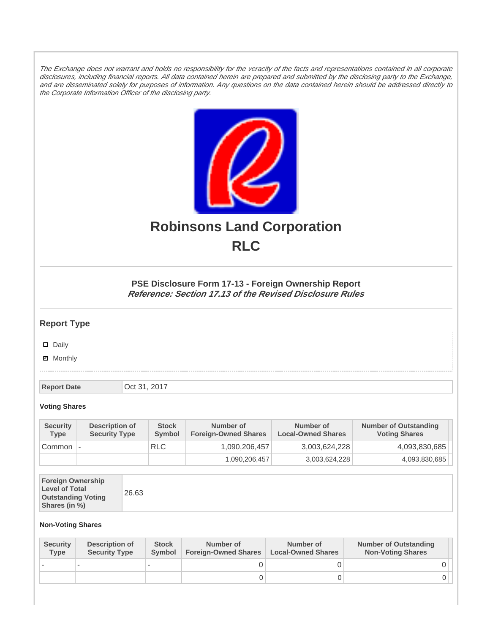The Exchange does not warrant and holds no responsibility for the veracity of the facts and representations contained in all corporate disclosures, including financial reports. All data contained herein are prepared and submitted by the disclosing party to the Exchange, and are disseminated solely for purposes of information. Any questions on the data contained herein should be addressed directly to the Corporate Information Officer of the disclosing party.



# **Robinsons Land Corporation RLC**

## **PSE Disclosure Form 17-13 - Foreign Ownership Report Reference: Section 17.13 of the Revised Disclosure Rules**

## **Report Type**

Daily

**Ø** Monthly

**Report Date Oct 31, 2017** 

#### **Voting Shares**

| <b>Security</b><br><b>Type</b> | Description of<br><b>Security Type</b> | <b>Stock</b><br>Symbol | Number of<br><b>Foreign-Owned Shares</b> | Number of<br><b>Local-Owned Shares</b> | <b>Number of Outstanding</b><br><b>Voting Shares</b> |
|--------------------------------|----------------------------------------|------------------------|------------------------------------------|----------------------------------------|------------------------------------------------------|
| Common                         | $\overline{\phantom{a}}$               | <b>RLC</b>             | 1,090,206,457                            | 3,003,624,228                          | 4,093,830,685                                        |
|                                |                                        |                        | 1,090,206,457                            | 3,003,624,228                          | 4,093,830,685                                        |

|--|--|

### **Non-Voting Shares**

| <b>Security</b><br><b>Type</b> | Description of<br><b>Security Type</b> | <b>Stock</b><br><b>Symbol</b> | Number of<br><b>Foreign-Owned Shares</b> | Number of<br><b>Local-Owned Shares</b> | <b>Number of Outstanding</b><br><b>Non-Voting Shares</b> |
|--------------------------------|----------------------------------------|-------------------------------|------------------------------------------|----------------------------------------|----------------------------------------------------------|
|                                |                                        |                               |                                          |                                        |                                                          |
|                                |                                        |                               | O                                        |                                        |                                                          |